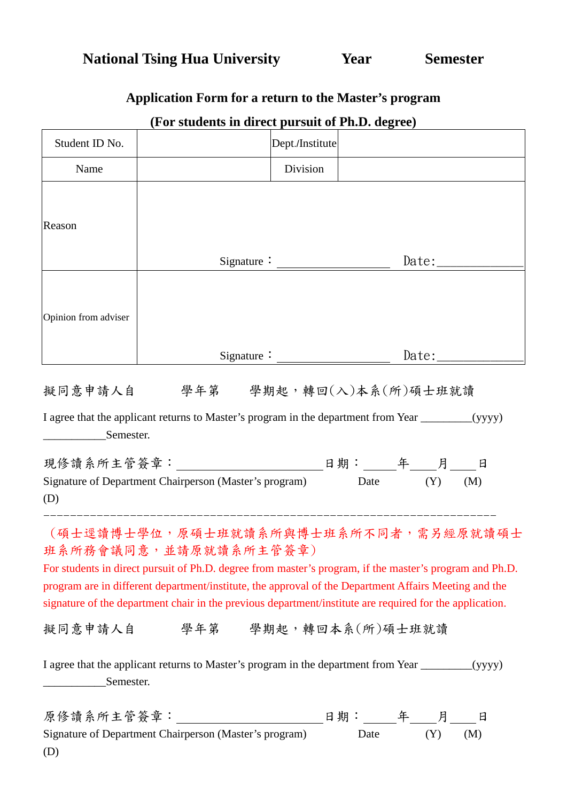|                      | (For students in direct pursuit of Ph.D. degree)                                                                                                                                                                                                                                                                                                                                              |                 |              |
|----------------------|-----------------------------------------------------------------------------------------------------------------------------------------------------------------------------------------------------------------------------------------------------------------------------------------------------------------------------------------------------------------------------------------------|-----------------|--------------|
| Student ID No.       |                                                                                                                                                                                                                                                                                                                                                                                               | Dept./Institute |              |
| Name                 |                                                                                                                                                                                                                                                                                                                                                                                               | Division        |              |
| Reason               |                                                                                                                                                                                                                                                                                                                                                                                               |                 |              |
|                      |                                                                                                                                                                                                                                                                                                                                                                                               | Signature:      | Date: $\_\_$ |
| Opinion from adviser |                                                                                                                                                                                                                                                                                                                                                                                               |                 |              |
|                      |                                                                                                                                                                                                                                                                                                                                                                                               |                 |              |
|                      | 擬同意申請人自 學年第 學期起,轉回(入)本系(所)碩士班就讀                                                                                                                                                                                                                                                                                                                                                               |                 |              |
| Semester.            | I agree that the applicant returns to Master's program in the department from Year ________(yyyy)                                                                                                                                                                                                                                                                                             |                 |              |
| (D)                  | Signature of Department Chairperson (Master's program) Date (Y)                                                                                                                                                                                                                                                                                                                               |                 | (M)          |
|                      | (碩士逕讀博士學位,原碩士班就讀系所與博士班系所不同者,需另經原就讀碩士<br>班系所務會議同意,並請原就讀系所主管簽章)<br>For students in direct pursuit of Ph.D. degree from master's program, if the master's program and Ph.D.<br>program are in different department/institute, the approval of the Department Affairs Meeting and the<br>signature of the department chair in the previous department/institute are required for the application. |                 |              |
|                      | 擬同意申請人自 學年第 學期起,轉回本系(所)碩士班就讀                                                                                                                                                                                                                                                                                                                                                                  |                 |              |
| Semester.            | I agree that the applicant returns to Master's program in the department from Year _________(yyyy)                                                                                                                                                                                                                                                                                            |                 |              |
| (D)                  | 原修讀系所主管簽章: _________________________________日期: _______年_____月_____日<br>Signature of Department Chairperson (Master's program)                                                                                                                                                                                                                                                                | Date            | (Y)<br>(M)   |

## **Application Form for a return to the Master's program**